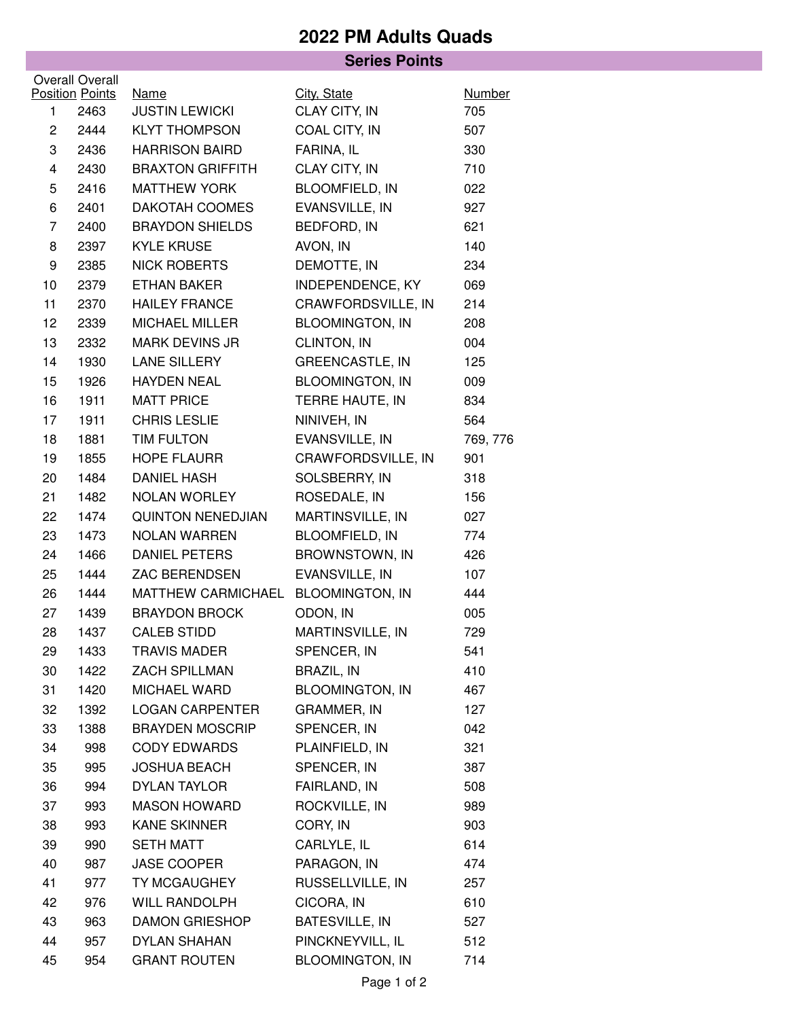## **2022 PM Adults Quads**

| <b>Series Points</b>   |                        |                                            |                                             |               |  |  |  |  |
|------------------------|------------------------|--------------------------------------------|---------------------------------------------|---------------|--|--|--|--|
| <b>Overall Overall</b> |                        |                                            |                                             |               |  |  |  |  |
|                        | <b>Position Points</b> | <b>Name</b>                                | City, State                                 | <b>Number</b> |  |  |  |  |
| 1                      | 2463                   | <b>JUSTIN LEWICKI</b>                      | CLAY CITY, IN                               | 705           |  |  |  |  |
| $\overline{c}$         | 2444                   | <b>KLYT THOMPSON</b>                       | COAL CITY, IN                               | 507           |  |  |  |  |
| 3                      | 2436                   | <b>HARRISON BAIRD</b>                      | FARINA, IL                                  | 330           |  |  |  |  |
| 4                      | 2430                   | <b>BRAXTON GRIFFITH</b>                    | CLAY CITY, IN                               | 710           |  |  |  |  |
| 5                      | 2416                   | <b>MATTHEW YORK</b>                        | <b>BLOOMFIELD, IN</b>                       | 022           |  |  |  |  |
| 6                      | 2401                   | DAKOTAH COOMES                             | EVANSVILLE, IN                              | 927           |  |  |  |  |
| $\overline{7}$         | 2400                   | <b>BRAYDON SHIELDS</b>                     | BEDFORD, IN                                 | 621           |  |  |  |  |
| 8                      | 2397                   | <b>KYLE KRUSE</b>                          | AVON, IN                                    | 140           |  |  |  |  |
| 9                      | 2385                   | <b>NICK ROBERTS</b>                        | DEMOTTE, IN                                 | 234           |  |  |  |  |
| 10                     | 2379                   | ETHAN BAKER                                | INDEPENDENCE, KY                            | 069           |  |  |  |  |
| 11                     | 2370                   | <b>HAILEY FRANCE</b>                       | CRAWFORDSVILLE, IN                          | 214           |  |  |  |  |
| 12                     | 2339                   | <b>MICHAEL MILLER</b>                      | <b>BLOOMINGTON, IN</b>                      | 208           |  |  |  |  |
| 13                     | 2332                   | MARK DEVINS JR                             | CLINTON, IN                                 | 004           |  |  |  |  |
| 14                     | 1930                   | <b>LANE SILLERY</b>                        | <b>GREENCASTLE, IN</b>                      | 125           |  |  |  |  |
| 15                     | 1926                   | <b>HAYDEN NEAL</b>                         | <b>BLOOMINGTON, IN</b>                      | 009           |  |  |  |  |
| 16                     | 1911                   | <b>MATT PRICE</b>                          | TERRE HAUTE, IN                             | 834           |  |  |  |  |
| 17                     | 1911                   | <b>CHRIS LESLIE</b>                        | NINIVEH, IN                                 | 564           |  |  |  |  |
| 18                     | 1881                   | <b>TIM FULTON</b>                          | EVANSVILLE, IN                              | 769, 776      |  |  |  |  |
| 19                     | 1855                   | <b>HOPE FLAURR</b>                         | CRAWFORDSVILLE, IN                          | 901           |  |  |  |  |
| 20                     | 1484                   | <b>DANIEL HASH</b>                         | SOLSBERRY, IN                               | 318           |  |  |  |  |
| 21                     | 1482                   | NOLAN WORLEY                               | ROSEDALE, IN                                | 156           |  |  |  |  |
| 22                     | 1474                   | <b>QUINTON NENEDJIAN</b>                   | MARTINSVILLE, IN                            | 027           |  |  |  |  |
| 23                     | 1473                   | <b>NOLAN WARREN</b>                        | <b>BLOOMFIELD, IN</b>                       | 774           |  |  |  |  |
| 24                     | 1466                   | <b>DANIEL PETERS</b>                       | <b>BROWNSTOWN, IN</b>                       | 426           |  |  |  |  |
| 25                     | 1444                   | <b>ZAC BERENDSEN</b>                       | EVANSVILLE, IN                              | 107           |  |  |  |  |
| 26<br>27               | 1444                   | MATTHEW CARMICHAEL<br><b>BRAYDON BROCK</b> | <b>BLOOMINGTON, IN</b>                      | 444           |  |  |  |  |
|                        | 1439                   | <b>CALEB STIDD</b>                         | ODON, IN<br>MARTINSVILLE, IN                | 005           |  |  |  |  |
| 28                     | 1437                   | <b>TRAVIS MADER</b>                        |                                             | 729<br>541    |  |  |  |  |
| 29                     | 1433                   |                                            | SPENCER, IN                                 | 410           |  |  |  |  |
| 30<br>31               | 1422                   | ZACH SPILLMAN                              | <b>BRAZIL, IN</b><br><b>BLOOMINGTON, IN</b> |               |  |  |  |  |
| 32                     | 1420                   | MICHAEL WARD<br><b>LOGAN CARPENTER</b>     |                                             | 467<br>127    |  |  |  |  |
|                        | 1392                   | <b>BRAYDEN MOSCRIP</b>                     | GRAMMER, IN                                 |               |  |  |  |  |
| 33                     | 1388                   | <b>CODY EDWARDS</b>                        | SPENCER, IN<br>PLAINFIELD, IN               | 042           |  |  |  |  |
| 34<br>35               | 998<br>995             | <b>JOSHUA BEACH</b>                        | SPENCER, IN                                 | 321<br>387    |  |  |  |  |
| 36                     | 994                    | <b>DYLAN TAYLOR</b>                        | FAIRLAND, IN                                | 508           |  |  |  |  |
| 37                     | 993                    | <b>MASON HOWARD</b>                        | ROCKVILLE, IN                               | 989           |  |  |  |  |
| 38                     | 993                    | <b>KANE SKINNER</b>                        | CORY, IN                                    | 903           |  |  |  |  |
| 39                     | 990                    | <b>SETH MATT</b>                           | CARLYLE, IL                                 | 614           |  |  |  |  |
| 40                     | 987                    | JASE COOPER                                | PARAGON, IN                                 | 474           |  |  |  |  |
| 41                     | 977                    | TY MCGAUGHEY                               | RUSSELLVILLE, IN                            | 257           |  |  |  |  |
| 42                     | 976                    | <b>WILL RANDOLPH</b>                       | CICORA, IN                                  | 610           |  |  |  |  |
| 43                     | 963                    | <b>DAMON GRIESHOP</b>                      | BATESVILLE, IN                              | 527           |  |  |  |  |
| 44                     | 957                    | <b>DYLAN SHAHAN</b>                        | PINCKNEYVILL, IL                            | 512           |  |  |  |  |
| 45                     | 954                    | <b>GRANT ROUTEN</b>                        | <b>BLOOMINGTON, IN</b>                      | 714           |  |  |  |  |
|                        |                        |                                            |                                             |               |  |  |  |  |